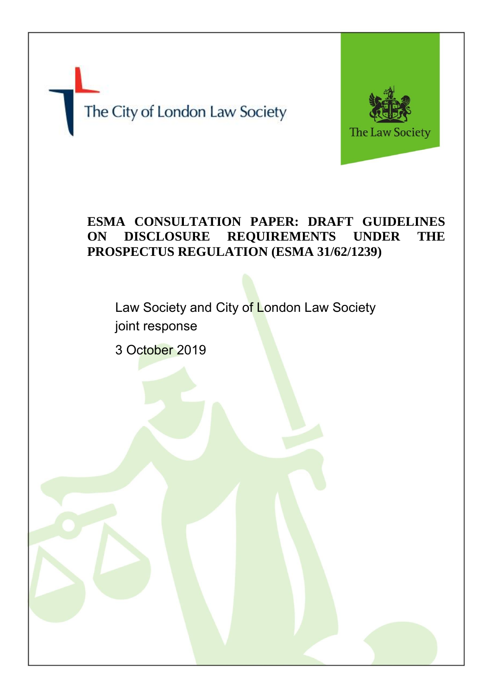The City of London Law Society



# **ESMA CONSULTATION PAPER: DRAFT GUIDELINES ON DISCLOSURE REQUIREMENTS UNDER THE PROSPECTUS REGULATION (ESMA 31/62/1239)**

Law Society and City of London Law Society joint response

3 October 2019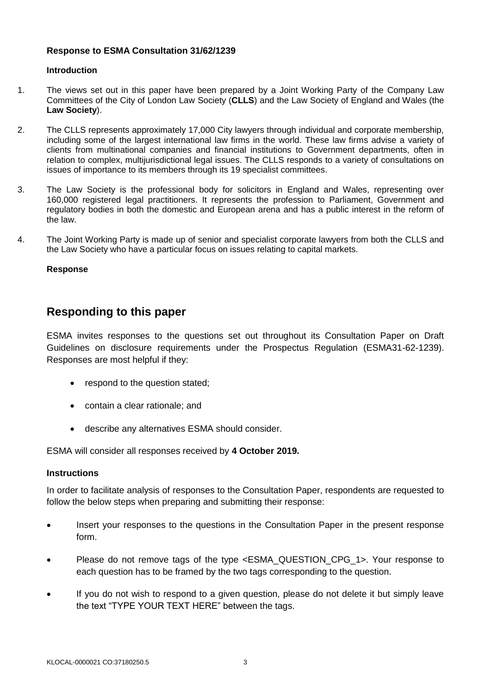# **Introduction**

- 1. The views set out in this paper have been prepared by a Joint Working Party of the Company Law Committees of the City of London Law Society (**CLLS**) and the Law Society of England and Wales (the **Law Society**).
- 2. The CLLS represents approximately 17,000 City lawyers through individual and corporate membership, including some of the largest international law firms in the world. These law firms advise a variety of clients from multinational companies and financial institutions to Government departments, often in relation to complex, multijurisdictional legal issues. The CLLS responds to a variety of consultations on issues of importance to its members through its 19 specialist committees.
- 3. The Law Society is the professional body for solicitors in England and Wales, representing over 160,000 registered legal practitioners. It represents the profession to Parliament, Government and regulatory bodies in both the domestic and European arena and has a public interest in the reform of the law.
- 4. The Joint Working Party is made up of senior and specialist corporate lawyers from both the CLLS and the Law Society who have a particular focus on issues relating to capital markets.

# **Response**

# **Responding to this paper**

ESMA invites responses to the questions set out throughout its Consultation Paper on Draft Guidelines on disclosure requirements under the Prospectus Regulation (ESMA31-62-1239). Responses are most helpful if they:

- respond to the question stated;
- contain a clear rationale; and
- describe any alternatives ESMA should consider.

ESMA will consider all responses received by **4 October 2019.** 

# **Instructions**

In order to facilitate analysis of responses to the Consultation Paper, respondents are requested to follow the below steps when preparing and submitting their response:

- Insert your responses to the questions in the Consultation Paper in the present response form.
- Please do not remove tags of the type <ESMA\_QUESTION\_CPG\_1>. Your response to each question has to be framed by the two tags corresponding to the question.
- If you do not wish to respond to a given question, please do not delete it but simply leave the text "TYPE YOUR TEXT HERE" between the tags.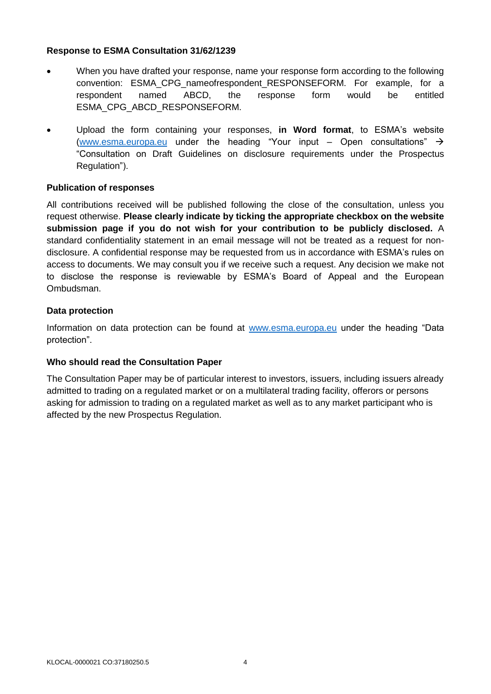- When you have drafted your response, name your response form according to the following convention: ESMA\_CPG\_nameofrespondent\_RESPONSEFORM. For example, for a respondent named ABCD, the response form would be entitled ESMA\_CPG\_ABCD\_RESPONSEFORM.
- Upload the form containing your responses, **in Word format**, to ESMA's website [\(www.esma.europa.eu](http://www.esma.europa.eu/) under the heading "Your input – Open consultations"  $\rightarrow$ "Consultation on Draft Guidelines on disclosure requirements under the Prospectus Regulation").

# **Publication of responses**

All contributions received will be published following the close of the consultation, unless you request otherwise. **Please clearly indicate by ticking the appropriate checkbox on the website submission page if you do not wish for your contribution to be publicly disclosed.** A standard confidentiality statement in an email message will not be treated as a request for nondisclosure. A confidential response may be requested from us in accordance with ESMA's rules on access to documents. We may consult you if we receive such a request. Any decision we make not to disclose the response is reviewable by ESMA's Board of Appeal and the European Ombudsman.

# **Data protection**

Information on data protection can be found at [www.esma.europa.eu](http://www.esma.europa.eu/) under the heading "Data protection".

# **Who should read the Consultation Paper**

The Consultation Paper may be of particular interest to investors, issuers, including issuers already admitted to trading on a regulated market or on a multilateral trading facility, offerors or persons asking for admission to trading on a regulated market as well as to any market participant who is affected by the new Prospectus Regulation.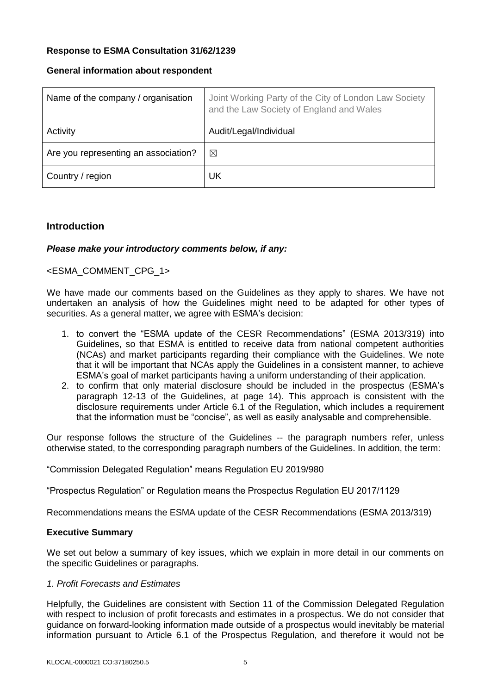# **General information about respondent**

| Name of the company / organisation   | Joint Working Party of the City of London Law Society<br>and the Law Society of England and Wales |
|--------------------------------------|---------------------------------------------------------------------------------------------------|
| Activity                             | Audit/Legal/Individual                                                                            |
| Are you representing an association? | ⊠                                                                                                 |
| Country / region                     | UK                                                                                                |

# **Introduction**

# *Please make your introductory comments below, if any:*

# <ESMA\_COMMENT\_CPG\_1>

We have made our comments based on the Guidelines as they apply to shares. We have not undertaken an analysis of how the Guidelines might need to be adapted for other types of securities. As a general matter, we agree with ESMA's decision:

- 1. to convert the "ESMA update of the CESR Recommendations" (ESMA 2013/319) into Guidelines, so that ESMA is entitled to receive data from national competent authorities (NCAs) and market participants regarding their compliance with the Guidelines. We note that it will be important that NCAs apply the Guidelines in a consistent manner, to achieve ESMA's goal of market participants having a uniform understanding of their application.
- 2. to confirm that only material disclosure should be included in the prospectus (ESMA's paragraph 12-13 of the Guidelines, at page 14). This approach is consistent with the disclosure requirements under Article 6.1 of the Regulation, which includes a requirement that the information must be "concise", as well as easily analysable and comprehensible.

Our response follows the structure of the Guidelines -- the paragraph numbers refer, unless otherwise stated, to the corresponding paragraph numbers of the Guidelines. In addition, the term:

"Commission Delegated Regulation" means Regulation EU 2019/980

"Prospectus Regulation" or Regulation means the Prospectus Regulation EU 2017/1129

Recommendations means the ESMA update of the CESR Recommendations (ESMA 2013/319)

# **Executive Summary**

We set out below a summary of key issues, which we explain in more detail in our comments on the specific Guidelines or paragraphs.

# *1. Profit Forecasts and Estimates*

Helpfully, the Guidelines are consistent with Section 11 of the Commission Delegated Regulation with respect to inclusion of profit forecasts and estimates in a prospectus. We do not consider that guidance on forward-looking information made outside of a prospectus would inevitably be material information pursuant to Article 6.1 of the Prospectus Regulation, and therefore it would not be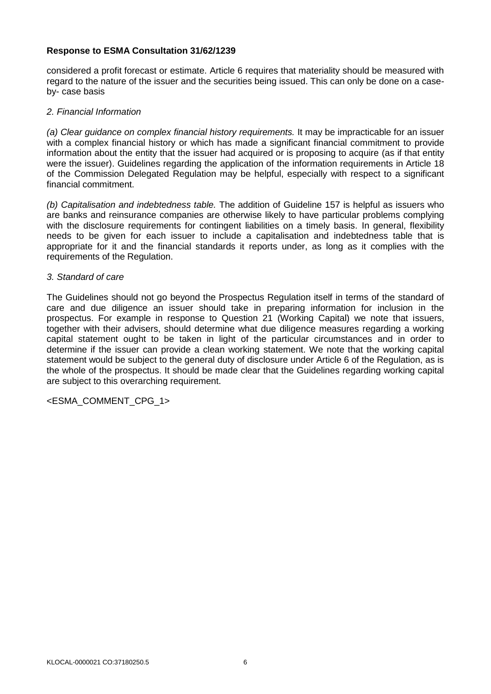considered a profit forecast or estimate. Article 6 requires that materiality should be measured with regard to the nature of the issuer and the securities being issued. This can only be done on a caseby- case basis

# *2. Financial Information*

*(a) Clear guidance on complex financial history requirements.* It may be impracticable for an issuer with a complex financial history or which has made a significant financial commitment to provide information about the entity that the issuer had acquired or is proposing to acquire (as if that entity were the issuer). Guidelines regarding the application of the information requirements in Article 18 of the Commission Delegated Regulation may be helpful, especially with respect to a significant financial commitment.

*(b) Capitalisation and indebtedness table.* The addition of Guideline 157 is helpful as issuers who are banks and reinsurance companies are otherwise likely to have particular problems complying with the disclosure requirements for contingent liabilities on a timely basis. In general, flexibility needs to be given for each issuer to include a capitalisation and indebtedness table that is appropriate for it and the financial standards it reports under, as long as it complies with the requirements of the Regulation.

# *3. Standard of care*

The Guidelines should not go beyond the Prospectus Regulation itself in terms of the standard of care and due diligence an issuer should take in preparing information for inclusion in the prospectus. For example in response to Question 21 (Working Capital) we note that issuers, together with their advisers, should determine what due diligence measures regarding a working capital statement ought to be taken in light of the particular circumstances and in order to determine if the issuer can provide a clean working statement. We note that the working capital statement would be subject to the general duty of disclosure under Article 6 of the Regulation, as is the whole of the prospectus. It should be made clear that the Guidelines regarding working capital are subject to this overarching requirement.

<ESMA\_COMMENT\_CPG\_1>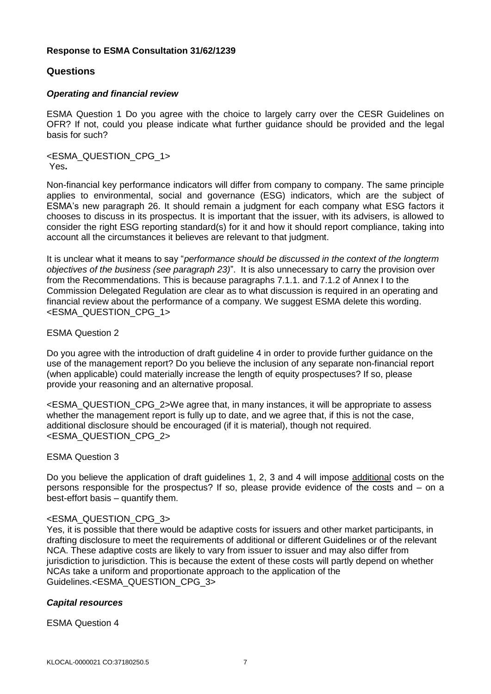# **Questions**

# *Operating and financial review*

ESMA Question 1 Do you agree with the choice to largely carry over the CESR Guidelines on OFR? If not, could you please indicate what further guidance should be provided and the legal basis for such?

<ESMA\_QUESTION\_CPG\_1> Yes**.** 

Non-financial key performance indicators will differ from company to company. The same principle applies to environmental, social and governance (ESG) indicators, which are the subject of ESMA's new paragraph 26. It should remain a judgment for each company what ESG factors it chooses to discuss in its prospectus. It is important that the issuer, with its advisers, is allowed to consider the right ESG reporting standard(s) for it and how it should report compliance, taking into account all the circumstances it believes are relevant to that judgment.

It is unclear what it means to say "*performance should be discussed in the context of the longterm objectives of the business (see paragraph 23)*". It is also unnecessary to carry the provision over from the Recommendations. This is because paragraphs 7.1.1. and 7.1.2 of Annex I to the Commission Delegated Regulation are clear as to what discussion is required in an operating and financial review about the performance of a company. We suggest ESMA delete this wording. <ESMA\_QUESTION\_CPG\_1>

# ESMA Question 2

Do you agree with the introduction of draft guideline 4 in order to provide further guidance on the use of the management report? Do you believe the inclusion of any separate non-financial report (when applicable) could materially increase the length of equity prospectuses? If so, please provide your reasoning and an alternative proposal.

<ESMA\_QUESTION\_CPG\_2>We agree that, in many instances, it will be appropriate to assess whether the management report is fully up to date, and we agree that, if this is not the case, additional disclosure should be encouraged (if it is material), though not required. <ESMA\_QUESTION\_CPG\_2>

# ESMA Question 3

Do you believe the application of draft guidelines 1, 2, 3 and 4 will impose additional costs on the persons responsible for the prospectus? If so, please provide evidence of the costs and – on a best-effort basis – quantify them.

# <ESMA\_QUESTION\_CPG\_3>

Yes, it is possible that there would be adaptive costs for issuers and other market participants, in drafting disclosure to meet the requirements of additional or different Guidelines or of the relevant NCA. These adaptive costs are likely to vary from issuer to issuer and may also differ from jurisdiction to jurisdiction. This is because the extent of these costs will partly depend on whether NCAs take a uniform and proportionate approach to the application of the Guidelines.<ESMA\_QUESTION\_CPG\_3>

# *Capital resources*

# ESMA Question 4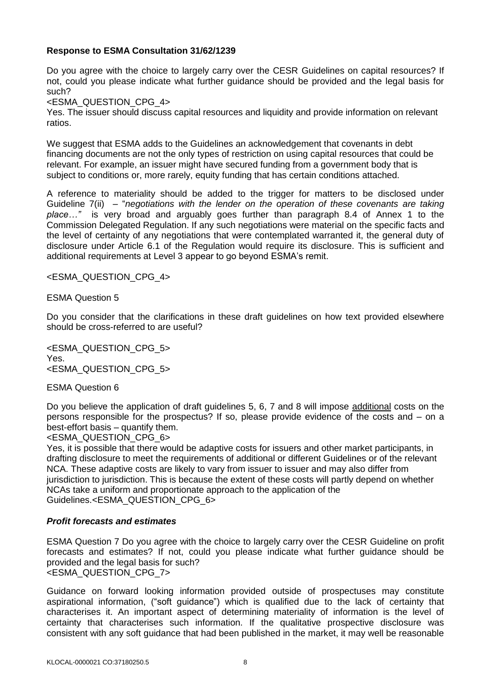Do you agree with the choice to largely carry over the CESR Guidelines on capital resources? If not, could you please indicate what further guidance should be provided and the legal basis for such?

<ESMA\_QUESTION\_CPG\_4>

Yes. The issuer should discuss capital resources and liquidity and provide information on relevant ratios.

We suggest that ESMA adds to the Guidelines an acknowledgement that covenants in debt financing documents are not the only types of restriction on using capital resources that could be relevant. For example, an issuer might have secured funding from a government body that is subject to conditions or, more rarely, equity funding that has certain conditions attached.

A reference to materiality should be added to the trigger for matters to be disclosed under Guideline 7(ii) – "*negotiations with the lender on the operation of these covenants are taking place…"* is very broad and arguably goes further than paragraph 8.4 of Annex 1 to the Commission Delegated Regulation. If any such negotiations were material on the specific facts and the level of certainty of any negotiations that were contemplated warranted it, the general duty of disclosure under Article 6.1 of the Regulation would require its disclosure. This is sufficient and additional requirements at Level 3 appear to go beyond ESMA's remit.

<ESMA\_QUESTION\_CPG\_4>

ESMA Question 5

Do you consider that the clarifications in these draft guidelines on how text provided elsewhere should be cross-referred to are useful?

<ESMA\_QUESTION\_CPG\_5> Yes. <ESMA\_QUESTION\_CPG\_5>

ESMA Question 6

Do you believe the application of draft guidelines 5, 6, 7 and 8 will impose additional costs on the persons responsible for the prospectus? If so, please provide evidence of the costs and – on a best-effort basis – quantify them.

<ESMA\_QUESTION\_CPG\_6>

Yes, it is possible that there would be adaptive costs for issuers and other market participants, in drafting disclosure to meet the requirements of additional or different Guidelines or of the relevant NCA. These adaptive costs are likely to vary from issuer to issuer and may also differ from jurisdiction to jurisdiction. This is because the extent of these costs will partly depend on whether NCAs take a uniform and proportionate approach to the application of the Guidelines.<ESMA\_QUESTION\_CPG\_6>

# *Profit forecasts and estimates*

ESMA Question 7 Do you agree with the choice to largely carry over the CESR Guideline on profit forecasts and estimates? If not, could you please indicate what further guidance should be provided and the legal basis for such? <ESMA\_QUESTION\_CPG\_7>

Guidance on forward looking information provided outside of prospectuses may constitute aspirational information, ("soft guidance") which is qualified due to the lack of certainty that characterises it. An important aspect of determining materiality of information is the level of certainty that characterises such information. If the qualitative prospective disclosure was consistent with any soft guidance that had been published in the market, it may well be reasonable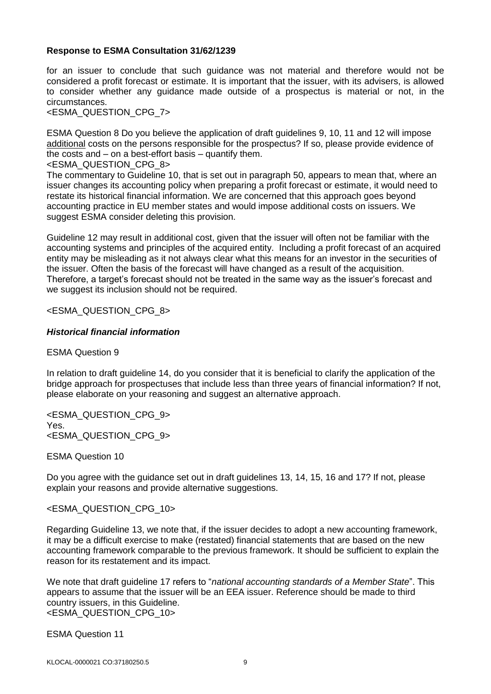for an issuer to conclude that such guidance was not material and therefore would not be considered a profit forecast or estimate. It is important that the issuer, with its advisers, is allowed to consider whether any guidance made outside of a prospectus is material or not, in the circumstances.

<ESMA\_QUESTION\_CPG\_7>

ESMA Question 8 Do you believe the application of draft guidelines 9, 10, 11 and 12 will impose additional costs on the persons responsible for the prospectus? If so, please provide evidence of the costs and – on a best-effort basis – quantify them.

<ESMA\_QUESTION\_CPG\_8>

The commentary to Guideline 10, that is set out in paragraph 50, appears to mean that, where an issuer changes its accounting policy when preparing a profit forecast or estimate, it would need to restate its historical financial information. We are concerned that this approach goes beyond accounting practice in EU member states and would impose additional costs on issuers. We suggest ESMA consider deleting this provision.

Guideline 12 may result in additional cost, given that the issuer will often not be familiar with the accounting systems and principles of the acquired entity. Including a profit forecast of an acquired entity may be misleading as it not always clear what this means for an investor in the securities of the issuer. Often the basis of the forecast will have changed as a result of the acquisition. Therefore, a target's forecast should not be treated in the same way as the issuer's forecast and we suggest its inclusion should not be required.

# <ESMA\_QUESTION\_CPG\_8>

# *Historical financial information*

ESMA Question 9

In relation to draft guideline 14, do you consider that it is beneficial to clarify the application of the bridge approach for prospectuses that include less than three years of financial information? If not, please elaborate on your reasoning and suggest an alternative approach.

<ESMA\_QUESTION\_CPG\_9> Yes. <ESMA\_QUESTION\_CPG\_9>

ESMA Question 10

Do you agree with the guidance set out in draft guidelines 13, 14, 15, 16 and 17? If not, please explain your reasons and provide alternative suggestions.

# <ESMA\_QUESTION\_CPG\_10>

Regarding Guideline 13, we note that, if the issuer decides to adopt a new accounting framework, it may be a difficult exercise to make (restated) financial statements that are based on the new accounting framework comparable to the previous framework. It should be sufficient to explain the reason for its restatement and its impact.

We note that draft guideline 17 refers to "*national accounting standards of a Member State*". This appears to assume that the issuer will be an EEA issuer. Reference should be made to third country issuers, in this Guideline. <ESMA\_QUESTION\_CPG\_10>

ESMA Question 11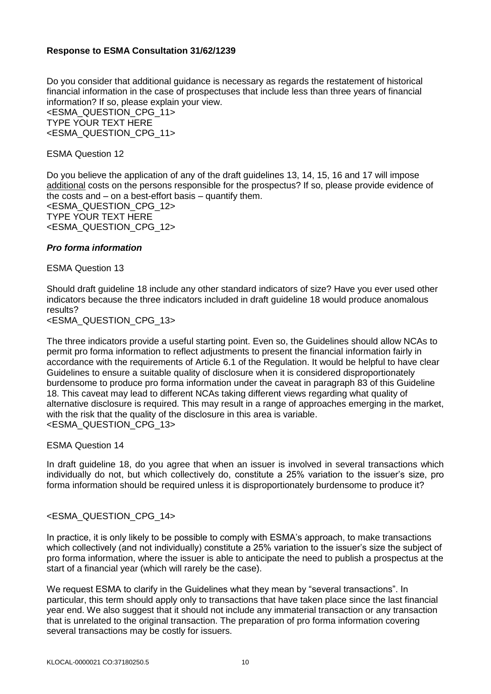Do you consider that additional guidance is necessary as regards the restatement of historical financial information in the case of prospectuses that include less than three years of financial information? If so, please explain your view.

<ESMA\_QUESTION\_CPG\_11> TYPE YOUR TEXT HERE <ESMA\_QUESTION\_CPG\_11>

ESMA Question 12

Do you believe the application of any of the draft guidelines 13, 14, 15, 16 and 17 will impose additional costs on the persons responsible for the prospectus? If so, please provide evidence of the costs and – on a best-effort basis – quantify them. <ESMA\_QUESTION\_CPG\_12> TYPE YOUR TEXT HERE <ESMA\_QUESTION\_CPG\_12>

# *Pro forma information*

ESMA Question 13

Should draft guideline 18 include any other standard indicators of size? Have you ever used other indicators because the three indicators included in draft guideline 18 would produce anomalous results?

<ESMA\_QUESTION\_CPG\_13>

The three indicators provide a useful starting point. Even so, the Guidelines should allow NCAs to permit pro forma information to reflect adjustments to present the financial information fairly in accordance with the requirements of Article 6.1 of the Regulation. It would be helpful to have clear Guidelines to ensure a suitable quality of disclosure when it is considered disproportionately burdensome to produce pro forma information under the caveat in paragraph 83 of this Guideline 18. This caveat may lead to different NCAs taking different views regarding what quality of alternative disclosure is required. This may result in a range of approaches emerging in the market, with the risk that the quality of the disclosure in this area is variable. <ESMA\_QUESTION\_CPG\_13>

ESMA Question 14

In draft guideline 18, do you agree that when an issuer is involved in several transactions which individually do not, but which collectively do, constitute a 25% variation to the issuer's size, pro forma information should be required unless it is disproportionately burdensome to produce it?

# <ESMA\_QUESTION\_CPG\_14>

In practice, it is only likely to be possible to comply with ESMA's approach, to make transactions which collectively (and not individually) constitute a 25% variation to the issuer's size the subject of pro forma information, where the issuer is able to anticipate the need to publish a prospectus at the start of a financial year (which will rarely be the case).

We request ESMA to clarify in the Guidelines what they mean by "several transactions". In particular, this term should apply only to transactions that have taken place since the last financial year end. We also suggest that it should not include any immaterial transaction or any transaction that is unrelated to the original transaction. The preparation of pro forma information covering several transactions may be costly for issuers.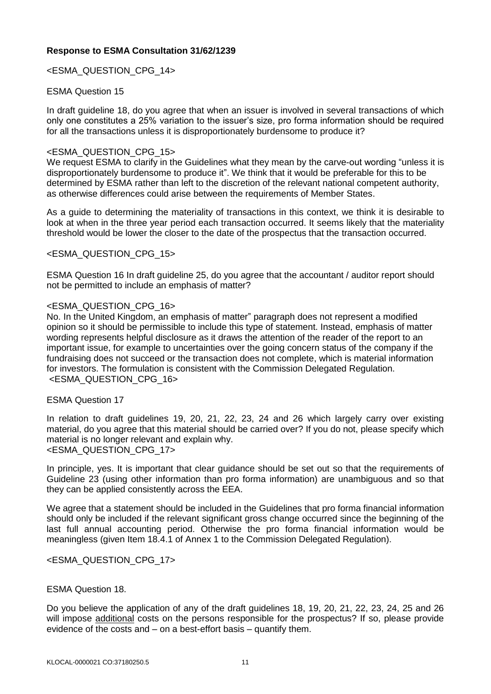<ESMA\_QUESTION\_CPG\_14>

# ESMA Question 15

In draft guideline 18, do you agree that when an issuer is involved in several transactions of which only one constitutes a 25% variation to the issuer's size, pro forma information should be required for all the transactions unless it is disproportionately burdensome to produce it?

# <ESMA\_QUESTION\_CPG\_15>

We request ESMA to clarify in the Guidelines what they mean by the carve-out wording "unless it is disproportionately burdensome to produce it". We think that it would be preferable for this to be determined by ESMA rather than left to the discretion of the relevant national competent authority, as otherwise differences could arise between the requirements of Member States.

As a guide to determining the materiality of transactions in this context, we think it is desirable to look at when in the three year period each transaction occurred. It seems likely that the materiality threshold would be lower the closer to the date of the prospectus that the transaction occurred.

# <ESMA\_QUESTION\_CPG\_15>

ESMA Question 16 In draft guideline 25, do you agree that the accountant / auditor report should not be permitted to include an emphasis of matter?

#### <ESMA\_QUESTION\_CPG\_16>

No. In the United Kingdom, an emphasis of matter" paragraph does not represent a modified opinion so it should be permissible to include this type of statement. Instead, emphasis of matter wording represents helpful disclosure as it draws the attention of the reader of the report to an important issue, for example to uncertainties over the going concern status of the company if the fundraising does not succeed or the transaction does not complete, which is material information for investors. The formulation is consistent with the Commission Delegated Regulation. <ESMA\_QUESTION\_CPG\_16>

# ESMA Question 17

In relation to draft guidelines 19, 20, 21, 22, 23, 24 and 26 which largely carry over existing material, do you agree that this material should be carried over? If you do not, please specify which material is no longer relevant and explain why. <ESMA\_QUESTION\_CPG\_17>

In principle, yes. It is important that clear guidance should be set out so that the requirements of Guideline 23 (using other information than pro forma information) are unambiguous and so that they can be applied consistently across the EEA.

We agree that a statement should be included in the Guidelines that pro forma financial information should only be included if the relevant significant gross change occurred since the beginning of the last full annual accounting period. Otherwise the pro forma financial information would be meaningless (given Item 18.4.1 of Annex 1 to the Commission Delegated Regulation).

# <ESMA\_QUESTION\_CPG\_17>

# ESMA Question 18.

Do you believe the application of any of the draft guidelines 18, 19, 20, 21, 22, 23, 24, 25 and 26 will impose additional costs on the persons responsible for the prospectus? If so, please provide evidence of the costs and – on a best-effort basis – quantify them.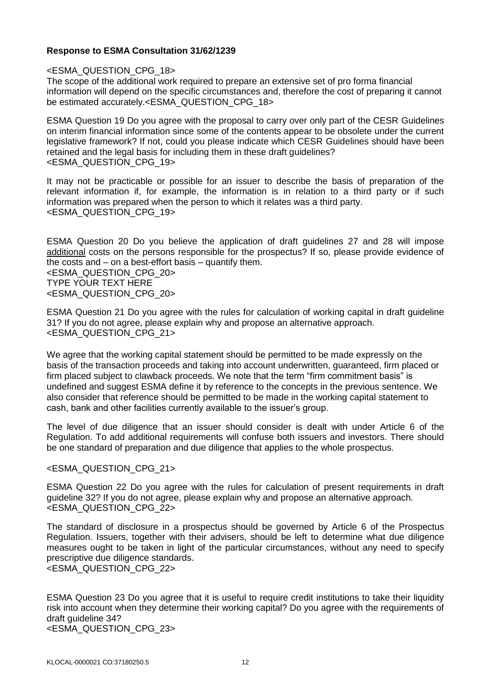# <ESMA\_QUESTION\_CPG\_18>

The scope of the additional work required to prepare an extensive set of pro forma financial information will depend on the specific circumstances and, therefore the cost of preparing it cannot be estimated accurately.<ESMA\_QUESTION\_CPG\_18>

ESMA Question 19 Do you agree with the proposal to carry over only part of the CESR Guidelines on interim financial information since some of the contents appear to be obsolete under the current legislative framework? If not, could you please indicate which CESR Guidelines should have been retained and the legal basis for including them in these draft guidelines? <ESMA\_QUESTION\_CPG\_19>

It may not be practicable or possible for an issuer to describe the basis of preparation of the relevant information if, for example, the information is in relation to a third party or if such information was prepared when the person to which it relates was a third party. <ESMA\_QUESTION\_CPG\_19>

ESMA Question 20 Do you believe the application of draft guidelines 27 and 28 will impose additional costs on the persons responsible for the prospectus? If so, please provide evidence of the costs and – on a best-effort basis – quantify them. <ESMA\_QUESTION\_CPG\_20> TYPE YOUR TEXT HERE <ESMA\_QUESTION\_CPG\_20>

ESMA Question 21 Do you agree with the rules for calculation of working capital in draft guideline 31? If you do not agree, please explain why and propose an alternative approach. <ESMA\_QUESTION\_CPG\_21>

We agree that the working capital statement should be permitted to be made expressly on the basis of the transaction proceeds and taking into account underwritten, guaranteed, firm placed or firm placed subject to clawback proceeds. We note that the term "firm commitment basis" is undefined and suggest ESMA define it by reference to the concepts in the previous sentence. We also consider that reference should be permitted to be made in the working capital statement to cash, bank and other facilities currently available to the issuer's group.

The level of due diligence that an issuer should consider is dealt with under Article 6 of the Regulation. To add additional requirements will confuse both issuers and investors. There should be one standard of preparation and due diligence that applies to the whole prospectus.

# <ESMA\_QUESTION\_CPG\_21>

ESMA Question 22 Do you agree with the rules for calculation of present requirements in draft guideline 32? If you do not agree, please explain why and propose an alternative approach. <ESMA\_QUESTION\_CPG\_22>

The standard of disclosure in a prospectus should be governed by Article 6 of the Prospectus Regulation. Issuers, together with their advisers, should be left to determine what due diligence measures ought to be taken in light of the particular circumstances, without any need to specify prescriptive due diligence standards.

<ESMA\_QUESTION\_CPG\_22>

ESMA Question 23 Do you agree that it is useful to require credit institutions to take their liquidity risk into account when they determine their working capital? Do you agree with the requirements of draft guideline 34? <ESMA\_QUESTION\_CPG\_23>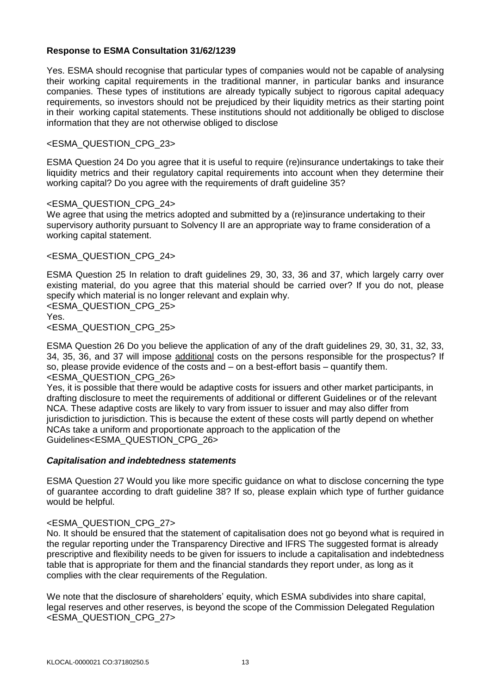Yes. ESMA should recognise that particular types of companies would not be capable of analysing their working capital requirements in the traditional manner, in particular banks and insurance companies. These types of institutions are already typically subject to rigorous capital adequacy requirements, so investors should not be prejudiced by their liquidity metrics as their starting point in their working capital statements. These institutions should not additionally be obliged to disclose information that they are not otherwise obliged to disclose

# <ESMA\_QUESTION\_CPG\_23>

ESMA Question 24 Do you agree that it is useful to require (re)insurance undertakings to take their liquidity metrics and their regulatory capital requirements into account when they determine their working capital? Do you agree with the requirements of draft guideline 35?

# <ESMA\_QUESTION\_CPG\_24>

We agree that using the metrics adopted and submitted by a (re)insurance undertaking to their supervisory authority pursuant to Solvency II are an appropriate way to frame consideration of a working capital statement.

# <ESMA\_QUESTION\_CPG\_24>

ESMA Question 25 In relation to draft guidelines 29, 30, 33, 36 and 37, which largely carry over existing material, do you agree that this material should be carried over? If you do not, please specify which material is no longer relevant and explain why.

<ESMA\_QUESTION\_CPG\_25> Yes. <ESMA\_QUESTION\_CPG\_25>

ESMA Question 26 Do you believe the application of any of the draft guidelines 29, 30, 31, 32, 33, 34, 35, 36, and 37 will impose additional costs on the persons responsible for the prospectus? If so, please provide evidence of the costs and  $-$  on a best-effort basis  $-$  quantify them. <ESMA\_QUESTION\_CPG\_26>

Yes, it is possible that there would be adaptive costs for issuers and other market participants, in drafting disclosure to meet the requirements of additional or different Guidelines or of the relevant NCA. These adaptive costs are likely to vary from issuer to issuer and may also differ from jurisdiction to jurisdiction. This is because the extent of these costs will partly depend on whether NCAs take a uniform and proportionate approach to the application of the Guidelines<ESMA\_QUESTION\_CPG\_26>

# *Capitalisation and indebtedness statements*

ESMA Question 27 Would you like more specific guidance on what to disclose concerning the type of guarantee according to draft guideline 38? If so, please explain which type of further guidance would be helpful.

# <ESMA\_QUESTION\_CPG\_27>

No. It should be ensured that the statement of capitalisation does not go beyond what is required in the regular reporting under the Transparency Directive and IFRS The suggested format is already prescriptive and flexibility needs to be given for issuers to include a capitalisation and indebtedness table that is appropriate for them and the financial standards they report under, as long as it complies with the clear requirements of the Regulation.

We note that the disclosure of shareholders' equity, which ESMA subdivides into share capital, legal reserves and other reserves, is beyond the scope of the Commission Delegated Regulation <ESMA\_QUESTION\_CPG\_27>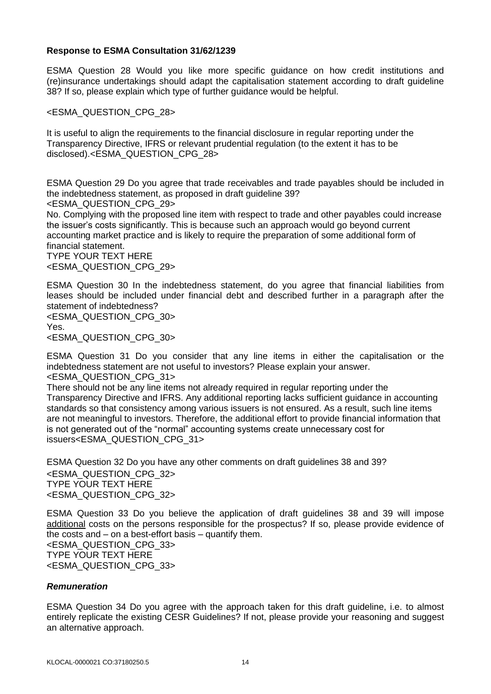ESMA Question 28 Would you like more specific guidance on how credit institutions and (re)insurance undertakings should adapt the capitalisation statement according to draft guideline 38? If so, please explain which type of further guidance would be helpful.

<ESMA\_QUESTION\_CPG\_28>

It is useful to align the requirements to the financial disclosure in regular reporting under the Transparency Directive, IFRS or relevant prudential regulation (to the extent it has to be disclosed).<ESMA\_QUESTION\_CPG\_28>

ESMA Question 29 Do you agree that trade receivables and trade payables should be included in the indebtedness statement, as proposed in draft guideline 39?

<ESMA\_QUESTION\_CPG\_29>

No. Complying with the proposed line item with respect to trade and other payables could increase the issuer's costs significantly. This is because such an approach would go beyond current accounting market practice and is likely to require the preparation of some additional form of financial statement.

TYPE YOUR TEXT HERE <ESMA\_QUESTION\_CPG\_29>

ESMA Question 30 In the indebtedness statement, do you agree that financial liabilities from leases should be included under financial debt and described further in a paragraph after the statement of indebtedness? <ESMA\_QUESTION\_CPG\_30>

Yes.

<ESMA\_QUESTION\_CPG\_30>

ESMA Question 31 Do you consider that any line items in either the capitalisation or the indebtedness statement are not useful to investors? Please explain your answer. <ESMA\_QUESTION\_CPG\_31>

There should not be any line items not already required in regular reporting under the Transparency Directive and IFRS. Any additional reporting lacks sufficient guidance in accounting standards so that consistency among various issuers is not ensured. As a result, such line items are not meaningful to investors. Therefore, the additional effort to provide financial information that is not generated out of the "normal" accounting systems create unnecessary cost for issuers<ESMA\_QUESTION\_CPG\_31>

ESMA Question 32 Do you have any other comments on draft guidelines 38 and 39? <ESMA\_QUESTION\_CPG\_32> TYPE YOUR TEXT HERE <ESMA\_QUESTION\_CPG\_32>

ESMA Question 33 Do you believe the application of draft guidelines 38 and 39 will impose additional costs on the persons responsible for the prospectus? If so, please provide evidence of the costs and – on a best-effort basis – quantify them. <ESMA\_QUESTION\_CPG\_33> TYPE YOUR TEXT HERE <ESMA\_QUESTION\_CPG\_33>

# *Remuneration*

ESMA Question 34 Do you agree with the approach taken for this draft guideline, i.e. to almost entirely replicate the existing CESR Guidelines? If not, please provide your reasoning and suggest an alternative approach.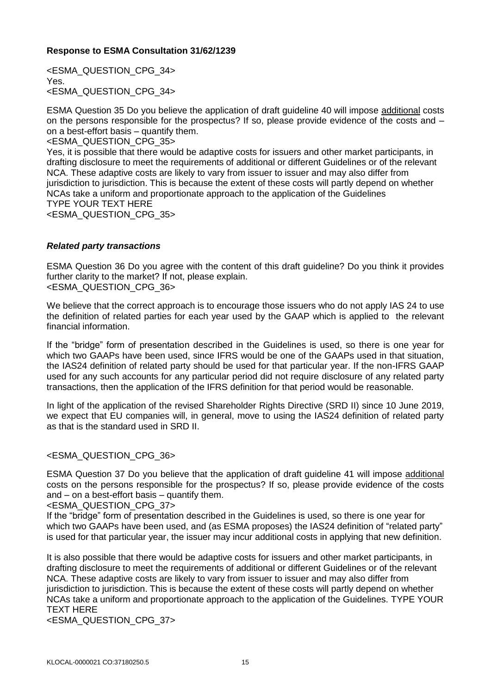<ESMA\_QUESTION\_CPG\_34> Yes. <ESMA\_QUESTION\_CPG\_34>

ESMA Question 35 Do you believe the application of draft guideline 40 will impose additional costs on the persons responsible for the prospectus? If so, please provide evidence of the costs and – on a best-effort basis – quantify them.

<ESMA\_QUESTION\_CPG\_35>

Yes, it is possible that there would be adaptive costs for issuers and other market participants, in drafting disclosure to meet the requirements of additional or different Guidelines or of the relevant NCA. These adaptive costs are likely to vary from issuer to issuer and may also differ from jurisdiction to jurisdiction. This is because the extent of these costs will partly depend on whether NCAs take a uniform and proportionate approach to the application of the Guidelines TYPE YOUR TEXT HERE <ESMA\_QUESTION\_CPG\_35>

# *Related party transactions*

ESMA Question 36 Do you agree with the content of this draft guideline? Do you think it provides further clarity to the market? If not, please explain. <ESMA\_QUESTION\_CPG\_36>

We believe that the correct approach is to encourage those issuers who do not apply IAS 24 to use the definition of related parties for each year used by the GAAP which is applied to the relevant

financial information. If the "bridge" form of presentation described in the Guidelines is used, so there is one year for which two GAAPs have been used, since IFRS would be one of the GAAPs used in that situation, the IAS24 definition of related party should be used for that particular year. If the non-IFRS GAAP used for any such accounts for any particular period did not require disclosure of any related party

In light of the application of the revised Shareholder Rights Directive (SRD II) since 10 June 2019, we expect that EU companies will, in general, move to using the IAS24 definition of related party as that is the standard used in SRD II.

transactions, then the application of the IFRS definition for that period would be reasonable.

# <ESMA\_QUESTION\_CPG\_36>

ESMA Question 37 Do you believe that the application of draft guideline 41 will impose additional costs on the persons responsible for the prospectus? If so, please provide evidence of the costs and – on a best-effort basis – quantify them.

<ESMA\_QUESTION\_CPG\_37>

If the "bridge" form of presentation described in the Guidelines is used, so there is one year for which two GAAPs have been used, and (as ESMA proposes) the IAS24 definition of "related party" is used for that particular year, the issuer may incur additional costs in applying that new definition.

It is also possible that there would be adaptive costs for issuers and other market participants, in drafting disclosure to meet the requirements of additional or different Guidelines or of the relevant NCA. These adaptive costs are likely to vary from issuer to issuer and may also differ from jurisdiction to jurisdiction. This is because the extent of these costs will partly depend on whether NCAs take a uniform and proportionate approach to the application of the Guidelines. TYPE YOUR TEXT HERE

<ESMA\_QUESTION\_CPG\_37>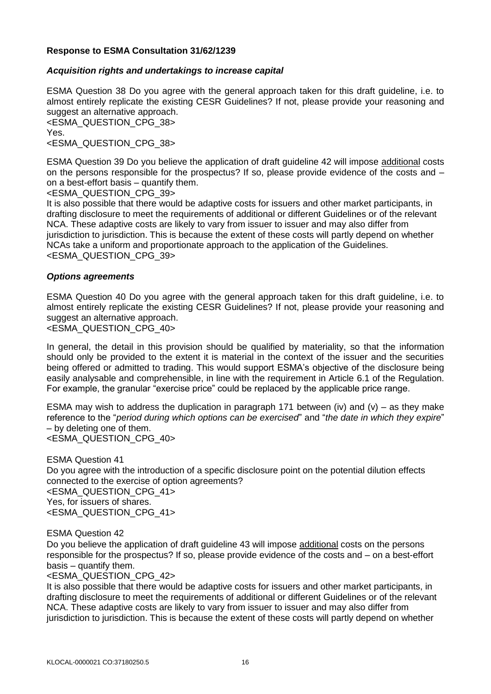# *Acquisition rights and undertakings to increase capital*

ESMA Question 38 Do you agree with the general approach taken for this draft guideline, i.e. to almost entirely replicate the existing CESR Guidelines? If not, please provide your reasoning and suggest an alternative approach.

<ESMA\_QUESTION\_CPG\_38> Yes.

<ESMA\_QUESTION\_CPG\_38>

ESMA Question 39 Do you believe the application of draft guideline 42 will impose additional costs on the persons responsible for the prospectus? If so, please provide evidence of the costs and – on a best-effort basis – quantify them.

<ESMA\_QUESTION\_CPG\_39>

It is also possible that there would be adaptive costs for issuers and other market participants, in drafting disclosure to meet the requirements of additional or different Guidelines or of the relevant NCA. These adaptive costs are likely to vary from issuer to issuer and may also differ from jurisdiction to jurisdiction. This is because the extent of these costs will partly depend on whether NCAs take a uniform and proportionate approach to the application of the Guidelines. <ESMA\_QUESTION\_CPG\_39>

# *Options agreements*

ESMA Question 40 Do you agree with the general approach taken for this draft guideline, i.e. to almost entirely replicate the existing CESR Guidelines? If not, please provide your reasoning and suggest an alternative approach.

<ESMA\_QUESTION\_CPG\_40>

In general, the detail in this provision should be qualified by materiality, so that the information should only be provided to the extent it is material in the context of the issuer and the securities being offered or admitted to trading. This would support ESMA's objective of the disclosure being easily analysable and comprehensible, in line with the requirement in Article 6.1 of the Regulation. For example, the granular "exercise price" could be replaced by the applicable price range.

ESMA may wish to address the duplication in paragraph 171 between (iv) and (v) – as they make reference to the "*period during which options can be exercised*" and "*the date in which they expire*" – by deleting one of them. <ESMA\_QUESTION\_CPG\_40>

ESMA Question 41 Do you agree with the introduction of a specific disclosure point on the potential dilution effects connected to the exercise of option agreements? <ESMA\_QUESTION\_CPG\_41> Yes, for issuers of shares. <ESMA\_QUESTION\_CPG\_41>

ESMA Question 42

Do you believe the application of draft guideline 43 will impose additional costs on the persons responsible for the prospectus? If so, please provide evidence of the costs and – on a best-effort basis – quantify them.

<ESMA\_QUESTION\_CPG\_42>

It is also possible that there would be adaptive costs for issuers and other market participants, in drafting disclosure to meet the requirements of additional or different Guidelines or of the relevant NCA. These adaptive costs are likely to vary from issuer to issuer and may also differ from jurisdiction to jurisdiction. This is because the extent of these costs will partly depend on whether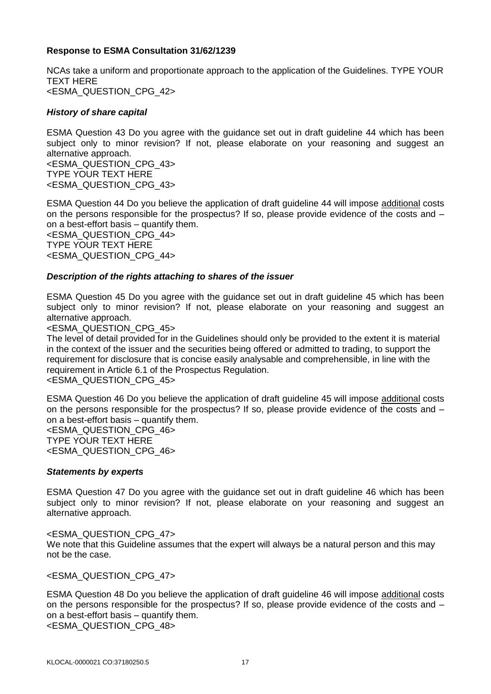NCAs take a uniform and proportionate approach to the application of the Guidelines. TYPE YOUR TEXT HERE <ESMA\_QUESTION\_CPG\_42>

# *History of share capital*

ESMA Question 43 Do you agree with the guidance set out in draft guideline 44 which has been subject only to minor revision? If not, please elaborate on your reasoning and suggest an alternative approach. <ESMA\_QUESTION\_CPG\_43>

TYPE YOUR TEXT HERE <ESMA\_QUESTION\_CPG\_43>

ESMA Question 44 Do you believe the application of draft guideline 44 will impose additional costs on the persons responsible for the prospectus? If so, please provide evidence of the costs and – on a best-effort basis – quantify them. <ESMA\_QUESTION\_CPG\_44> TYPE YOUR TEXT HERE <ESMA\_QUESTION\_CPG\_44>

# *Description of the rights attaching to shares of the issuer*

ESMA Question 45 Do you agree with the guidance set out in draft guideline 45 which has been subject only to minor revision? If not, please elaborate on your reasoning and suggest an alternative approach.

#### <ESMA\_QUESTION\_CPG\_45>

The level of detail provided for in the Guidelines should only be provided to the extent it is material in the context of the issuer and the securities being offered or admitted to trading, to support the requirement for disclosure that is concise easily analysable and comprehensible, in line with the requirement in Article 6.1 of the Prospectus Regulation. <ESMA\_QUESTION\_CPG\_45>

ESMA Question 46 Do you believe the application of draft guideline 45 will impose additional costs on the persons responsible for the prospectus? If so, please provide evidence of the costs and – on a best-effort basis – quantify them. <ESMA\_QUESTION\_CPG\_46> TYPE YOUR TEXT HERE <ESMA\_QUESTION\_CPG\_46>

# *Statements by experts*

ESMA Question 47 Do you agree with the guidance set out in draft guideline 46 which has been subject only to minor revision? If not, please elaborate on your reasoning and suggest an alternative approach.

# <ESMA\_QUESTION\_CPG\_47>

We note that this Guideline assumes that the expert will always be a natural person and this may not be the case.

<ESMA\_QUESTION\_CPG\_47>

ESMA Question 48 Do you believe the application of draft guideline 46 will impose additional costs on the persons responsible for the prospectus? If so, please provide evidence of the costs and – on a best-effort basis – quantify them.

<ESMA\_QUESTION\_CPG\_48>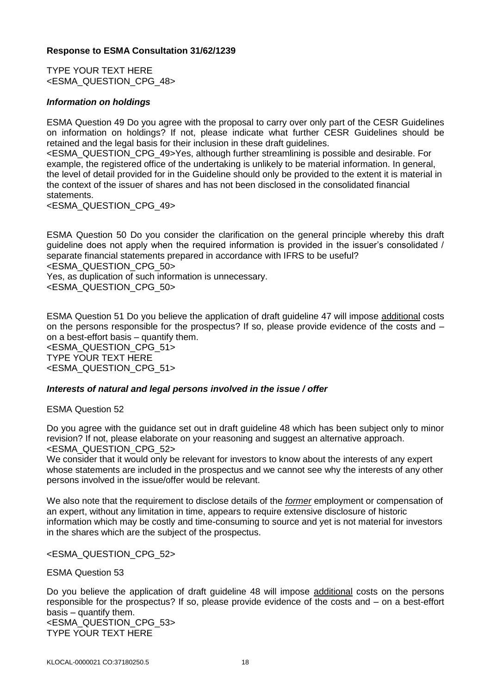TYPE YOUR TEXT HERE <ESMA\_QUESTION\_CPG\_48>

#### *Information on holdings*

ESMA Question 49 Do you agree with the proposal to carry over only part of the CESR Guidelines on information on holdings? If not, please indicate what further CESR Guidelines should be retained and the legal basis for their inclusion in these draft guidelines.

<ESMA\_QUESTION\_CPG\_49>Yes, although further streamlining is possible and desirable. For example, the registered office of the undertaking is unlikely to be material information. In general, the level of detail provided for in the Guideline should only be provided to the extent it is material in the context of the issuer of shares and has not been disclosed in the consolidated financial statements.

<ESMA\_QUESTION\_CPG\_49>

ESMA Question 50 Do you consider the clarification on the general principle whereby this draft guideline does not apply when the required information is provided in the issuer's consolidated / separate financial statements prepared in accordance with IFRS to be useful? <ESMA\_QUESTION\_CPG\_50>

Yes, as duplication of such information is unnecessary.

<ESMA\_QUESTION\_CPG\_50>

ESMA Question 51 Do you believe the application of draft guideline 47 will impose additional costs on the persons responsible for the prospectus? If so, please provide evidence of the costs and – on a best-effort basis – quantify them. <ESMA\_QUESTION\_CPG\_51> TYPE YOUR TEXT HERE <ESMA\_QUESTION\_CPG\_51>

# *Interests of natural and legal persons involved in the issue / offer*

ESMA Question 52

Do you agree with the guidance set out in draft guideline 48 which has been subject only to minor revision? If not, please elaborate on your reasoning and suggest an alternative approach. <ESMA\_QUESTION\_CPG\_52>

We consider that it would only be relevant for investors to know about the interests of any expert whose statements are included in the prospectus and we cannot see why the interests of any other persons involved in the issue/offer would be relevant.

We also note that the requirement to disclose details of the *former* employment or compensation of an expert, without any limitation in time, appears to require extensive disclosure of historic information which may be costly and time-consuming to source and yet is not material for investors in the shares which are the subject of the prospectus.

<ESMA\_QUESTION\_CPG\_52>

# ESMA Question 53

Do you believe the application of draft guideline 48 will impose additional costs on the persons responsible for the prospectus? If so, please provide evidence of the costs and – on a best-effort basis – quantify them.

<ESMA\_QUESTION\_CPG\_53> TYPE YOUR TEXT HERE